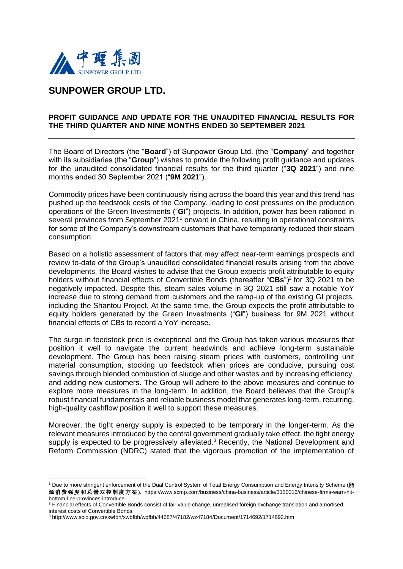

-

## **SUNPOWER GROUP LTD.**

## **PROFIT GUIDANCE AND UPDATE FOR THE UNAUDITED FINANCIAL RESULTS FOR THE THIRD QUARTER AND NINE MONTHS ENDED 30 SEPTEMBER 2021**

The Board of Directors (the "**Board**") of Sunpower Group Ltd. (the "**Company**" and together with its subsidiaries (the "**Group**") wishes to provide the following profit guidance and updates for the unaudited consolidated financial results for the third quarter ("**3Q 2021**") and nine months ended 30 September 2021 ("**9M 2021**").

Commodity prices have been continuously rising across the board this year and this trend has pushed up the feedstock costs of the Company, leading to cost pressures on the production operations of the Green Investments ("**GI**") projects. In addition, power has been rationed in several provinces from September 2021<sup>1</sup> onward in China, resulting in operational constraints for some of the Company's downstream customers that have temporarily reduced their steam consumption.

Based on a holistic assessment of factors that may affect near-term earnings prospects and review to-date of the Group's unaudited consolidated financial results arising from the above developments, the Board wishes to advise that the Group expects profit attributable to equity holders without financial effects of Convertible Bonds (thereafter "CBs")<sup>2</sup> for 3Q 2021 to be negatively impacted. Despite this, steam sales volume in 3Q 2021 still saw a notable YoY increase due to strong demand from customers and the ramp-up of the existing GI projects, including the Shantou Project. At the same time, the Group expects the profit attributable to equity holders generated by the Green Investments ("**GI**") business for 9M 2021 without financial effects of CBs to record a YoY increase**.**

The surge in feedstock price is exceptional and the Group has taken various measures that position it well to navigate the current headwinds and achieve long-term sustainable development. The Group has been raising steam prices with customers, controlling unit material consumption, stocking up feedstock when prices are conducive, pursuing cost savings through blended combustion of sludge and other wastes and by increasing efficiency, and adding new customers. The Group will adhere to the above measures and continue to explore more measures in the long-term. In addition, the Board believes that the Group's robust financial fundamentals and reliable business model that generates long-term, recurring, high-quality cashflow position it well to support these measures.

Moreover, the tight energy supply is expected to be temporary in the longer-term. As the relevant measures introduced by the central government gradually take effect, the tight energy supply is expected to be progressively alleviated.<sup>3</sup> Recently, the National Development and Reform Commission (NDRC) stated that the vigorous promotion of the implementation of

<sup>1</sup> Due to more stringent enforcement of the Dual Control System of Total Energy Consumption and Energy Intensity Scheme (能 源 消 费强 度 和总 量双 控 制度 方案 ). https://www.scmp.com/business/china-business/article/3150016/chinese-firms-warn-hitbottom-line-provinces-introduce.

 $2$  Financial effects of Convertible Bonds consist of fair value change, unrealised foreign exchange translation and amortised interest costs of Convertible Bonds.

<sup>3</sup> http://www.scio.gov.cn/xwfbh/xwbfbh/wqfbh/44687/47182/wz47184/Document/1714692/1714692.htm